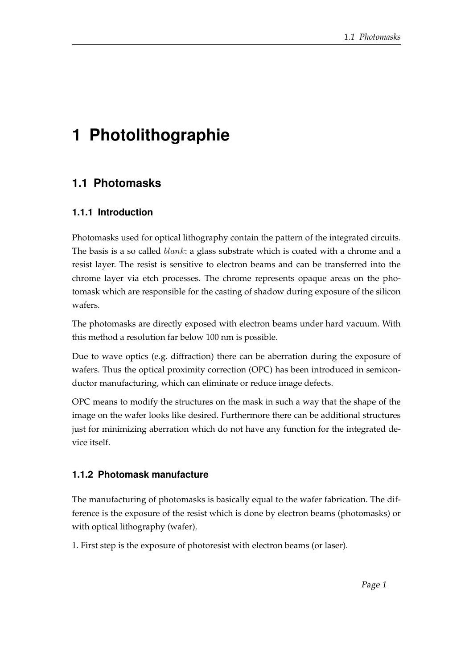# **1 Photolithographie**

## **1.1 Photomasks**

## **1.1.1 Introduction**

Photomasks used for optical lithography contain the pattern of the integrated circuits. The basis is a so called *blank*: a glass substrate which is coated with a chrome and a resist layer. The resist is sensitive to electron beams and can be transferred into the chrome layer via etch processes. The chrome represents opaque areas on the photomask which are responsible for the casting of shadow during exposure of the silicon wafers.

The photomasks are directly exposed with electron beams under hard vacuum. With this method a resolution far below 100 nm is possible.

Due to wave optics (e.g. diffraction) there can be aberration during the exposure of wafers. Thus the optical proximity correction (OPC) has been introduced in semiconductor manufacturing, which can eliminate or reduce image defects.

OPC means to modify the structures on the mask in such a way that the shape of the image on the wafer looks like desired. Furthermore there can be additional structures just for minimizing aberration which do not have any function for the integrated device itself.

### **1.1.2 Photomask manufacture**

The manufacturing of photomasks is basically equal to the wafer fabrication. The difference is the exposure of the resist which is done by electron beams (photomasks) or with optical lithography (wafer).

1. First step is the exposure of photoresist with electron beams (or laser).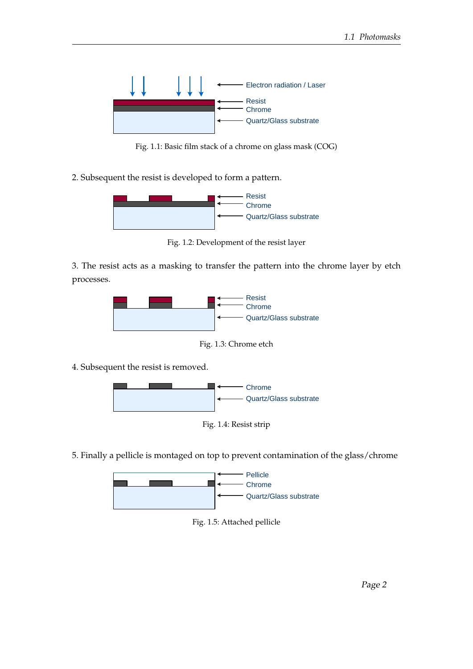

Fig. 1.1: Basic film stack of a chrome on glass mask (COG)

2. Subsequent the resist is developed to form a pattern.



Fig. 1.2: Development of the resist layer

3. The resist acts as a masking to transfer the pattern into the chrome layer by etch processes.



Fig. 1.3: Chrome etch

4. Subsequent the resist is removed.



5. Finally a pellicle is montaged on top to prevent contamination of the glass/chrome



Fig. 1.5: Attached pellicle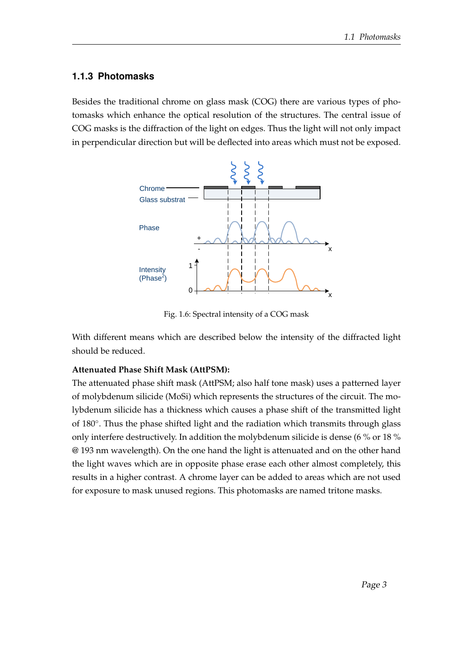#### **1.1.3 Photomasks**

Besides the traditional chrome on glass mask (COG) there are various types of photomasks which enhance the optical resolution of the structures. The central issue of COG masks is the diffraction of the light on edges. Thus the light will not only impact in perpendicular direction but will be deflected into areas which must not be exposed.



Fig. 1.6: Spectral intensity of a COG mask

With different means which are described below the intensity of the diffracted light should be reduced.

#### **Attenuated Phase Shift Mask (AttPSM):**

The attenuated phase shift mask (AttPSM; also half tone mask) uses a patterned layer of molybdenum silicide (MoSi) which represents the structures of the circuit. The molybdenum silicide has a thickness which causes a phase shift of the transmitted light of 180°. Thus the phase shifted light and the radiation which transmits through glass only interfere destructively. In addition the molybdenum silicide is dense (6 % or 18 % @ 193 nm wavelength). On the one hand the light is attenuated and on the other hand the light waves which are in opposite phase erase each other almost completely, this results in a higher contrast. A chrome layer can be added to areas which are not used for exposure to mask unused regions. This photomasks are named tritone masks.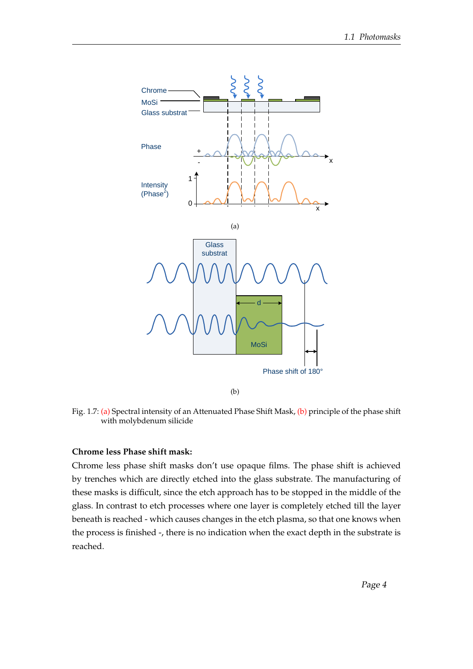<span id="page-3-0"></span>

(b)

<span id="page-3-1"></span>Fig. 1.7: [\(a\)](#page-3-0) Spectral intensity of an Attenuated Phase Shift Mask, [\(b\)](#page-3-1) principle of the phase shift with molybdenum silicide

#### **Chrome less Phase shift mask:**

Chrome less phase shift masks don't use opaque films. The phase shift is achieved by trenches which are directly etched into the glass substrate. The manufacturing of these masks is difficult, since the etch approach has to be stopped in the middle of the glass. In contrast to etch processes where one layer is completely etched till the layer beneath is reached - which causes changes in the etch plasma, so that one knows when the process is finished -, there is no indication when the exact depth in the substrate is reached.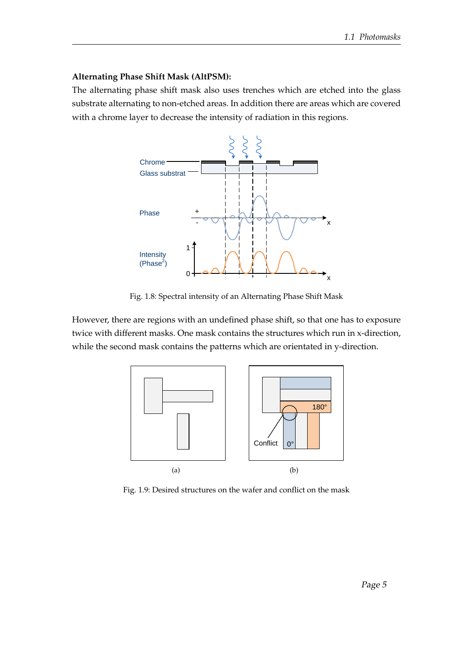#### **Alternating Phase Shift Mask (AltPSM):**

The alternating phase shift mask also uses trenches which are etched into the glass substrate alternating to non-etched areas. In addition there are areas which are covered with a chrome layer to decrease the intensity of radiation in this regions.



Fig. 1.8: Spectral intensity of an Alternating Phase Shift Mask

However, there are regions with an undefined phase shift, so that one has to exposure twice with different masks. One mask contains the structures which run in x-direction, while the second mask contains the patterns which are orientated in y-direction.



Fig. 1.9: Desired structures on the wafer and conflict on the mask